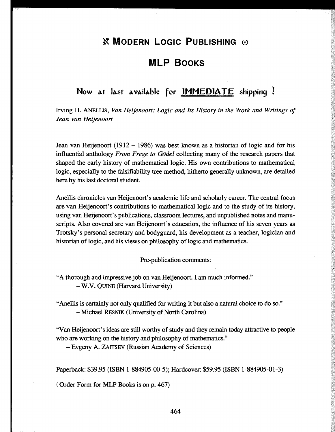# *<b>K* MODERN LOGIC PUBLISHING ω

# **MLP BOOKS**

### **Now At last available for IMMEDIATE shipping !**

Irving H. ANELLIS, *Van Heijenoort: Logic and Its History in the Work and Writings of Jean van Heijenoort*

Jean van Heijenoort (1912 - 1986) was best known as a historian of logic and for his influential anthology *From Frege to Godei* collecting many of the research papers that shaped the early history of mathematical logic. His own contributions to mathematical logic, especially to the falsifiability tree method, hitherto generally unknown, are detailed here by his last doctoral student.

Anellis chronicles van Heijenoort's academic life and scholarly career. The central focus are van Heijenoort's contributions to mathematical logic and to the study of its history, using van Heijenoort's publications, classroom lectures, and unpublished notes and manu scripts. Also covered are van Heijenoort's education, the influence of his seven years as Trotsky's personal secretary and bodyguard, his development as a teacher, logician and historian of logic, and his views on philosophy of logic and mathematics.

Pre-publication comments:

"A thorough and impressive job on van Heijenoort. I am much informed." W.V. QUINE (Harvard University)

"Anellis is certainly not only qualified for writing it but also a natural choice to do so." -Michael RESNIK (University of North Carolina)

"Van Heijenoort's ideas are still worthy of study and they remain today attractive to people who are working on the history and philosophy of mathematics."

Evgeny A. ZATTSEV (Russian Academy of Sciences)

Paperback: \$39.95 (ISBN 1-884905-00-5); Hardcover: \$59.95 (ISBN 1-884905-01-3)

( Order Form for MLP Books is on p. 467)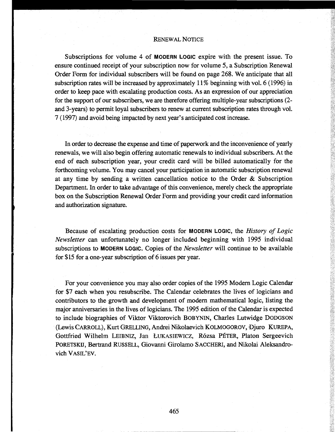#### RENEWAL NOTICE

Subscriptions for volume 4 of MODERN LOGIC expire with the present issue. To ensure continued receipt of your subscription now for volume 5, a Subscription Renewal Order Form for individual subscribers will be found on page 268. We anticipate that all subscription rates will be increased by approximately 11 % beginning with vol. 6 (1996) in order to keep pace with escalating production costs. As an expression of our appreciation for the support of our subscribers, we are therefore offering multiple-year subscriptions (2 and 3-years) to permit loyal subscribers to renew at current subscription rates through vol. 7 (1997) and avoid being impacted by next year's anticipated cost increase.

In order to decrease the expense and time of paperwork and the inconvenience of yearly renewals, we will also begin offering automatic renewals to individual subscribers. At the end of each subscription year, your credit card will be billed automatically for the forthcoming volume. You may cancel your participation in automatic subscription renewal at any time by sending a written cancellation notice to the Order & Subscription Department. In order to take advantage of this convenience, merely check the appropriate box on the Subscription Renewal Order Form and providing your credit card information and authorization signature.

Because of escalating production costs for MODERN LOGIC, the *History of Logic Newsletter* can unfortunately no longer included beginning with 1995 individual subscriptions to MODERN LOGIC. Copies of the *Newsletter* will continue to be available for \$15 for a one-year subscription of 6 issues per year.

For your convenience you may also order copies of the 1995 Modern Logic Calendar for \$7 each when you resub scribe. The Calendar celebrates the lives of logicians and contributors to the growth and development of modern mathematical logic, listing the major anniversaries in the lives of logicians. The 1995 edition of the Calendar is expected to include biographies of Viktor Viktorovich BOBYNIN, Charles Lutwidge DODGSON (Lewis CARROLL), Kurt GRELLING, Andrei Nikolaevich KOLMOGOROV, Djuro KUREPA, Gottfried Wilhelm LEIBNIZ, Jan LUKASIEWICZ, Rózsa PÉTER, Platon Sergeevich PORETSKIJ, Bertrand RUSSELL, Giovanni Girolamo SACCHERI, and Nikolai Aleksandrovich VASIL'EV.